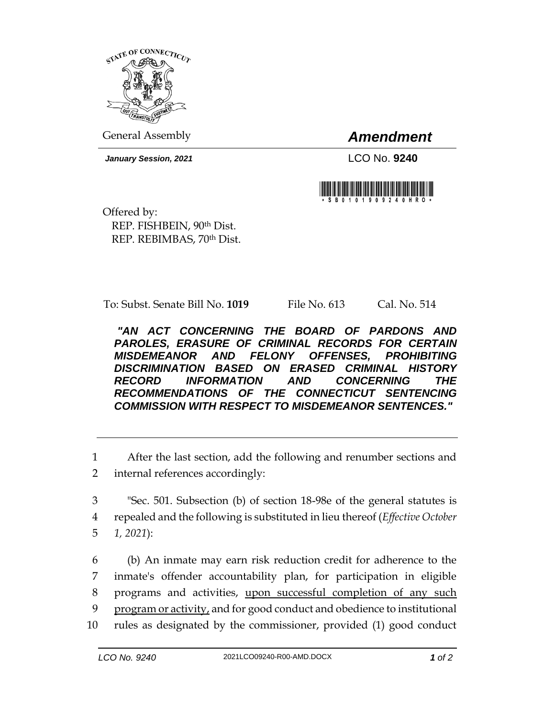

General Assembly *Amendment*

*January Session, 2021* LCO No. **9240**



Offered by: REP. FISHBEIN, 90th Dist. REP. REBIMBAS, 70th Dist.

To: Subst. Senate Bill No. **1019** File No. 613 Cal. No. 514

*"AN ACT CONCERNING THE BOARD OF PARDONS AND PAROLES, ERASURE OF CRIMINAL RECORDS FOR CERTAIN MISDEMEANOR AND FELONY OFFENSES, PROHIBITING DISCRIMINATION BASED ON ERASED CRIMINAL HISTORY RECORD INFORMATION AND CONCERNING THE RECOMMENDATIONS OF THE CONNECTICUT SENTENCING COMMISSION WITH RESPECT TO MISDEMEANOR SENTENCES."* 

1 After the last section, add the following and renumber sections and 2 internal references accordingly:

- 3 "Sec. 501. Subsection (b) of section 18-98e of the general statutes is 4 repealed and the following is substituted in lieu thereof (*Effective October*  5 *1, 2021*):
- 6 (b) An inmate may earn risk reduction credit for adherence to the 7 inmate's offender accountability plan, for participation in eligible 8 programs and activities, upon successful completion of any such 9 program or activity, and for good conduct and obedience to institutional 10 rules as designated by the commissioner, provided (1) good conduct